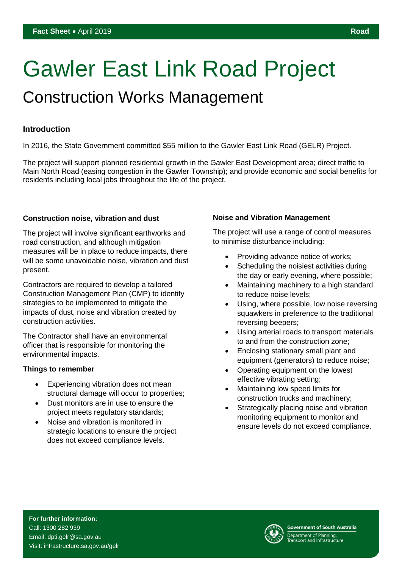# Gawler East Link Road Project

## Construction Works Management

### **Introduction**

In 2016, the State Government committed \$55 million to the Gawler East Link Road (GELR) Project.

The project will support planned residential growth in the Gawler East Development area; direct traffic to Main North Road (easing congestion in the Gawler Township); and provide economic and social benefits for residents including local jobs throughout the life of the project.

#### **Construction noise, vibration and dust**

The project will involve significant earthworks and road construction, and although mitigation measures will be in place to reduce impacts, there will be some unavoidable noise, vibration and dust present.

Contractors are required to develop a tailored Construction Management Plan (CMP) to identify strategies to be implemented to mitigate the impacts of dust, noise and vibration created by construction activities.

The Contractor shall have an environmental officer that is responsible for monitoring the environmental impacts.

#### **Things to remember**

- Experiencing vibration does not mean structural damage will occur to properties;
- Dust monitors are in use to ensure the project meets regulatory standards;
- Noise and vibration is monitored in strategic locations to ensure the project does not exceed compliance levels.

#### **Noise and Vibration Management**

The project will use a range of control measures to minimise disturbance including:

- Providing advance notice of works;
- Scheduling the noisiest activities during the day or early evening, where possible;
- Maintaining machinery to a high standard to reduce noise levels;
- Using, where possible, low noise reversing squawkers in preference to the traditional reversing beepers;
- Using arterial roads to transport materials to and from the construction zone;
- Enclosing stationary small plant and equipment (generators) to reduce noise;
- Operating equipment on the lowest effective vibrating setting;
- Maintaining low speed limits for construction trucks and machinery;
- Strategically placing noise and vibration monitoring equipment to monitor and ensure levels do not exceed compliance.